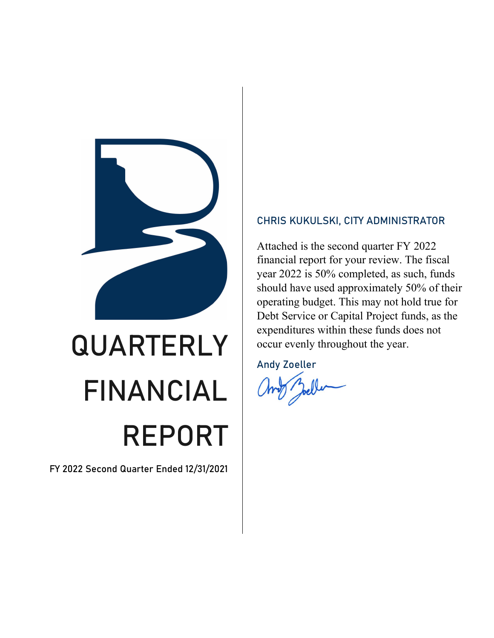

# QUARTERLY FINANCIAL REPORT

FY 2022 Second Quarter Ended 12/31/2021

### CHRIS KUKULSKI, CITY ADMINISTRATOR

Attached is the second quarter FY 2022 financial report for your review. The fiscal year 2022 is 50% completed, as such, funds should have used approximately 50% of their operating budget. This may not hold true for Debt Service or Capital Project funds, as the expenditures within these funds does not occur evenly throughout the year.

Andy Zoeller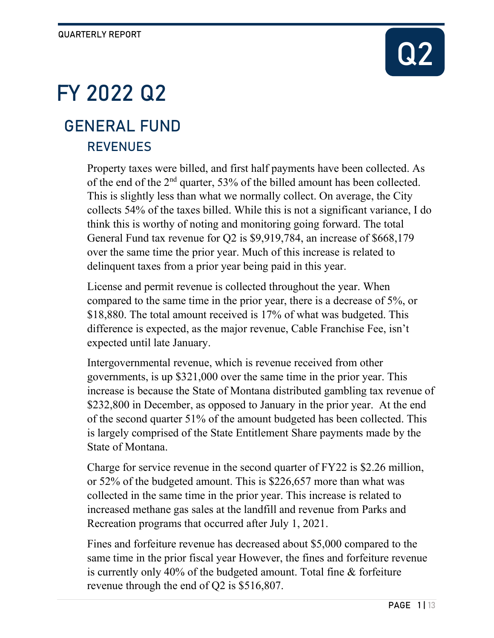# Q2

# FY 2022 Q2

# **REVENUES** GENERAL FUND

Property taxes were billed, and first half payments have been collected. As of the end of the 2nd quarter, 53% of the billed amount has been collected. This is slightly less than what we normally collect. On average, the City collects 54% of the taxes billed. While this is not a significant variance, I do think this is worthy of noting and monitoring going forward. The total General Fund tax revenue for Q2 is \$9,919,784, an increase of \$668,179 over the same time the prior year. Much of this increase is related to delinquent taxes from a prior year being paid in this year.

License and permit revenue is collected throughout the year. When compared to the same time in the prior year, there is a decrease of 5%, or \$18,880. The total amount received is 17% of what was budgeted. This difference is expected, as the major revenue, Cable Franchise Fee, isn't expected until late January.

Intergovernmental revenue, which is revenue received from other governments, is up \$321,000 over the same time in the prior year. This increase is because the State of Montana distributed gambling tax revenue of \$232,800 in December, as opposed to January in the prior year. At the end of the second quarter 51% of the amount budgeted has been collected. This is largely comprised of the State Entitlement Share payments made by the State of Montana.

Charge for service revenue in the second quarter of FY22 is \$2.26 million, or 52% of the budgeted amount. This is \$226,657 more than what was collected in the same time in the prior year. This increase is related to increased methane gas sales at the landfill and revenue from Parks and Recreation programs that occurred after July 1, 2021.

Fines and forfeiture revenue has decreased about \$5,000 compared to the same time in the prior fiscal year However, the fines and forfeiture revenue is currently only 40% of the budgeted amount. Total fine & forfeiture revenue through the end of Q2 is \$516,807.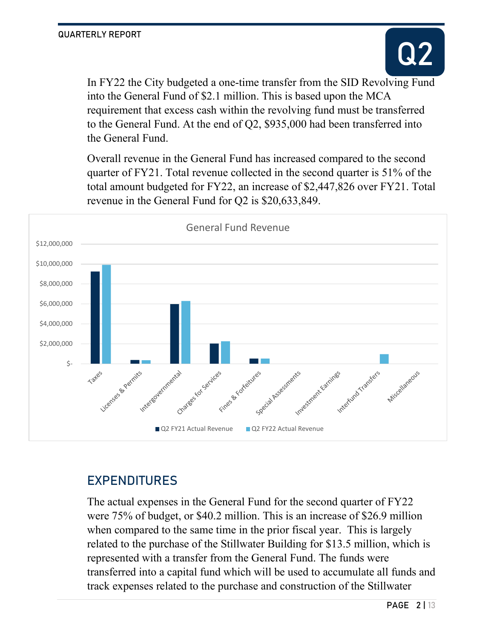

In FY22 the City budgeted a one-time transfer from the SID Revolving Fund into the General Fund of \$2.1 million. This is based upon the MCA requirement that excess cash within the revolving fund must be transferred to the General Fund. At the end of Q2, \$935,000 had been transferred into the General Fund.

Overall revenue in the General Fund has increased compared to the second quarter of FY21. Total revenue collected in the second quarter is 51% of the total amount budgeted for FY22, an increase of \$2,447,826 over FY21. Total revenue in the General Fund for Q2 is \$20,633,849.



# EXPENDITURES

The actual expenses in the General Fund for the second quarter of FY22 were 75% of budget, or \$40.2 million. This is an increase of \$26.9 million when compared to the same time in the prior fiscal year. This is largely related to the purchase of the Stillwater Building for \$13.5 million, which is represented with a transfer from the General Fund. The funds were transferred into a capital fund which will be used to accumulate all funds and track expenses related to the purchase and construction of the Stillwater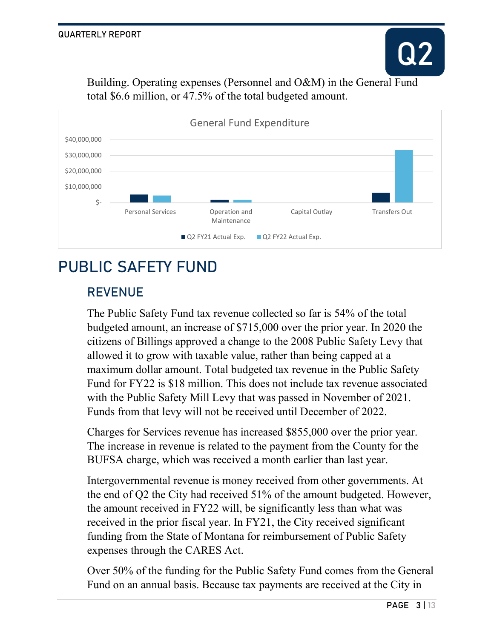

Building. Operating expenses (Personnel and O&M) in the General Fund total \$6.6 million, or 47.5% of the total budgeted amount.



# PUBLIC SAFETY FUND

# REVENUE

The Public Safety Fund tax revenue collected so far is 54% of the total budgeted amount, an increase of \$715,000 over the prior year. In 2020 the citizens of Billings approved a change to the 2008 Public Safety Levy that allowed it to grow with taxable value, rather than being capped at a maximum dollar amount. Total budgeted tax revenue in the Public Safety Fund for FY22 is \$18 million. This does not include tax revenue associated with the Public Safety Mill Levy that was passed in November of 2021. Funds from that levy will not be received until December of 2022.

Charges for Services revenue has increased \$855,000 over the prior year. The increase in revenue is related to the payment from the County for the BUFSA charge, which was received a month earlier than last year.

Intergovernmental revenue is money received from other governments. At the end of Q2 the City had received 51% of the amount budgeted. However, the amount received in FY22 will, be significantly less than what was received in the prior fiscal year. In FY21, the City received significant funding from the State of Montana for reimbursement of Public Safety expenses through the CARES Act.

Over 50% of the funding for the Public Safety Fund comes from the General Fund on an annual basis. Because tax payments are received at the City in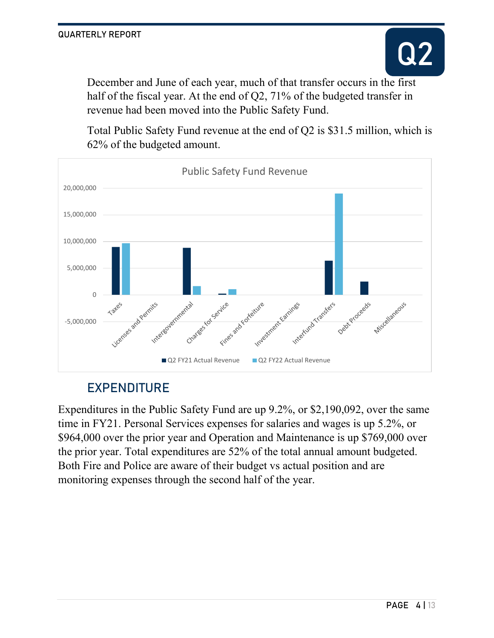December and June of each year, much of that transfer occurs in the first half of the fiscal year. At the end of Q2, 71% of the budgeted transfer in revenue had been moved into the Public Safety Fund.

Total Public Safety Fund revenue at the end of Q2 is \$31.5 million, which is 62% of the budgeted amount.



# EXPENDITURE

Expenditures in the Public Safety Fund are up 9.2%, or \$2,190,092, over the same time in FY21. Personal Services expenses for salaries and wages is up 5.2%, or \$964,000 over the prior year and Operation and Maintenance is up \$769,000 over the prior year. Total expenditures are 52% of the total annual amount budgeted. Both Fire and Police are aware of their budget vs actual position and are monitoring expenses through the second half of the year.

Q2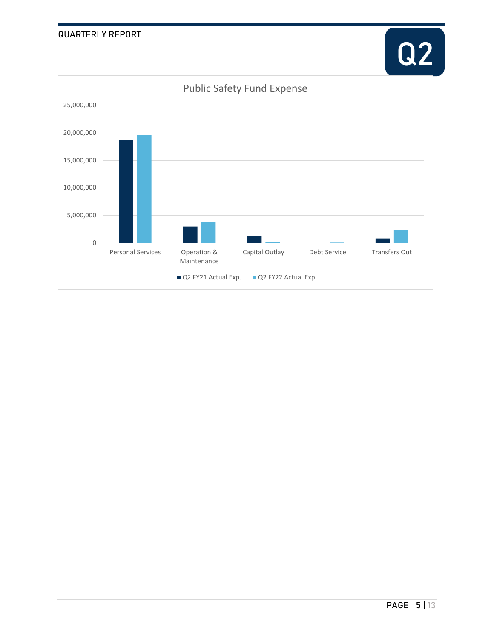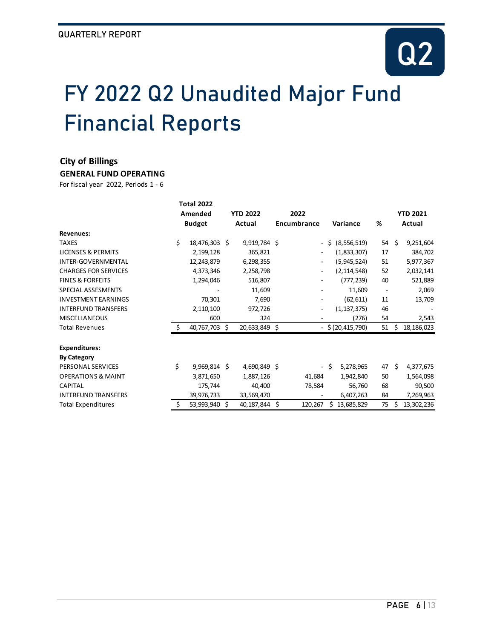# FY 2022 Q2 Unaudited Major Fund Financial Reports

#### **City of Billings**

**GENERAL FUND OPERATING**

|                               |    | <b>Total 2022</b> |                 |               |    |                          |    |                     |                          |        |                 |  |
|-------------------------------|----|-------------------|-----------------|---------------|----|--------------------------|----|---------------------|--------------------------|--------|-----------------|--|
|                               |    | Amended           | <b>YTD 2022</b> |               |    | 2022                     |    |                     |                          |        | <b>YTD 2021</b> |  |
|                               |    | <b>Budget</b>     |                 | Actual        |    | <b>Encumbrance</b>       |    | Variance            | %                        | Actual |                 |  |
| <b>Revenues:</b>              |    |                   |                 |               |    |                          |    |                     |                          |        |                 |  |
| <b>TAXES</b>                  | \$ | 18,476,303        | Ŝ.              | 9,919,784 \$  |    | $\overline{\phantom{0}}$ | \$ | (8, 556, 519)       | 54                       | Ŝ.     | 9,251,604       |  |
| <b>LICENSES &amp; PERMITS</b> |    | 2,199,128         |                 | 365,821       |    | ۰.                       |    | (1,833,307)         | 17                       |        | 384,702         |  |
| INTER-GOVERNMENTAL            |    | 12,243,879        |                 | 6,298,355     |    | ٠                        |    | (5,945,524)         | 51                       |        | 5,977,367       |  |
| <b>CHARGES FOR SERVICES</b>   |    | 4,373,346         |                 | 2,258,798     |    | $\overline{\phantom{0}}$ |    | (2, 114, 548)       | 52                       |        | 2,032,141       |  |
| <b>FINES &amp; FORFEITS</b>   |    | 1,294,046         |                 | 516,807       |    | ۰                        |    | (777, 239)          | 40                       |        | 521,889         |  |
| SPECIAL ASSESMENTS            |    |                   |                 | 11,609        |    |                          |    | 11,609              | $\overline{\phantom{a}}$ |        | 2,069           |  |
| <b>INVESTMENT EARNINGS</b>    |    | 70,301            |                 | 7,690         |    | ٠                        |    | (62, 611)           | 11                       |        | 13,709          |  |
| <b>INTERFUND TRANSFERS</b>    |    | 2,110,100         |                 | 972,726       |    |                          |    | (1, 137, 375)       | 46                       |        |                 |  |
| <b>MISCELLANEOUS</b>          |    | 600               |                 | 324           |    |                          |    | (276)               | 54                       |        | 2,543           |  |
| <b>Total Revenues</b>         | Ś. | 40,767,703        | Ŝ.              | 20,633,849 \$ |    |                          |    | $-$ \$ (20,415,790) | $51 \; \S$               |        | 18,186,023      |  |
| <b>Expenditures:</b>          |    |                   |                 |               |    |                          |    |                     |                          |        |                 |  |
| <b>By Category</b>            |    |                   |                 |               |    |                          |    |                     |                          |        |                 |  |
| PERSONAL SERVICES             | \$ | 9,969,814 \$      |                 | 4,690,849 \$  |    | $\sim$                   | Ŝ. | 5,278,965           | 47                       | Ŝ.     | 4,377,675       |  |
| <b>OPERATIONS &amp; MAINT</b> |    | 3,871,650         |                 | 1,887,126     |    | 41,684                   |    | 1,942,840           | 50                       |        | 1,564,098       |  |
| CAPITAL                       |    | 175,744           |                 | 40,400        |    | 78,584                   |    | 56,760              | 68                       |        | 90,500          |  |
| <b>INTERFUND TRANSFERS</b>    |    | 39,976,733        |                 | 33,569,470    |    |                          |    | 6,407,263           | 84                       |        | 7,269,963       |  |
| <b>Total Expenditures</b>     | \$ | 53,993,940        | Ś.              | 40,187,844    | \$ | 120,267                  | Ś. | 13,685,829          | 75                       | \$     | 13,302,236      |  |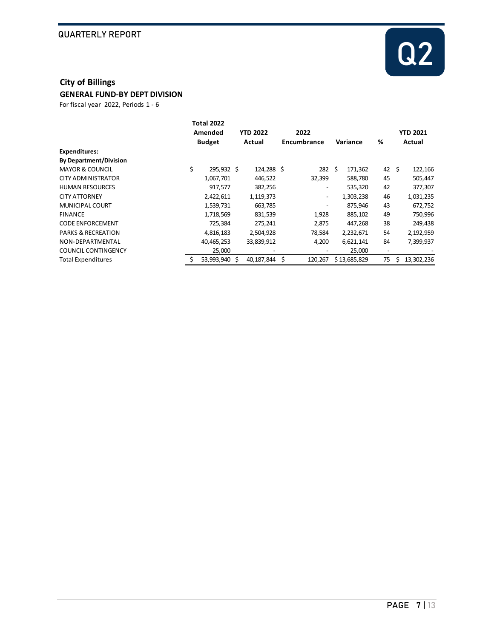

### **City of Billings**

**GENERAL FUND-BY DEPT DIVISION**

|                               |    | <b>Total 2022</b><br>Amended |    | <b>YTD 2022</b> |  | 2022                     |    |              |                          | <b>YTD 2021</b> |            |  |
|-------------------------------|----|------------------------------|----|-----------------|--|--------------------------|----|--------------|--------------------------|-----------------|------------|--|
|                               |    | <b>Budget</b>                |    | Actual          |  | Encumbrance              |    | Variance     | %                        |                 | Actual     |  |
| <b>Expenditures:</b>          |    |                              |    |                 |  |                          |    |              |                          |                 |            |  |
| <b>By Department/Division</b> |    |                              |    |                 |  |                          |    |              |                          |                 |            |  |
| <b>MAYOR &amp; COUNCIL</b>    | \$ | 295,932 \$                   |    | 124,288 \$      |  | 282                      | Ŝ. | 171,362      | 42                       | \$              | 122,166    |  |
| CITY ADMINISTRATOR            |    | 1,067,701                    |    | 446,522         |  | 32,399                   |    | 588,780      | 45                       |                 | 505,447    |  |
| <b>HUMAN RESOURCES</b>        |    | 917,577                      |    | 382,256         |  | -                        |    | 535,320      | 42                       |                 | 377,307    |  |
| <b>CITY ATTORNEY</b>          |    | 2,422,611                    |    | 1,119,373       |  | $\overline{\phantom{a}}$ |    | 1,303,238    | 46                       |                 | 1,031,235  |  |
| MUNICIPAL COURT               |    | 1,539,731                    |    | 663,785         |  | $\overline{\phantom{0}}$ |    | 875,946      | 43                       |                 | 672,752    |  |
| <b>FINANCE</b>                |    | 1,718,569                    |    | 831,539         |  | 1,928                    |    | 885,102      | 49                       |                 | 750,996    |  |
| <b>CODE ENFORCEMENT</b>       |    | 725,384                      |    | 275,241         |  | 2,875                    |    | 447,268      | 38                       |                 | 249,438    |  |
| <b>PARKS &amp; RECREATION</b> |    | 4,816,183                    |    | 2,504,928       |  | 78,584                   |    | 2,232,671    | 54                       |                 | 2,192,959  |  |
| NON-DEPARTMENTAL              |    | 40,465,253                   |    | 33,839,912      |  | 4,200                    |    | 6,621,141    | 84                       |                 | 7,399,937  |  |
| <b>COUNCIL CONTINGENCY</b>    |    | 25,000                       |    |                 |  |                          |    | 25,000       | $\overline{\phantom{a}}$ |                 |            |  |
| <b>Total Expenditures</b>     |    | 53,993,940                   | S. | 40,187,844 \$   |  | 120,267                  |    | \$13,685,829 | 75                       | Ś               | 13,302,236 |  |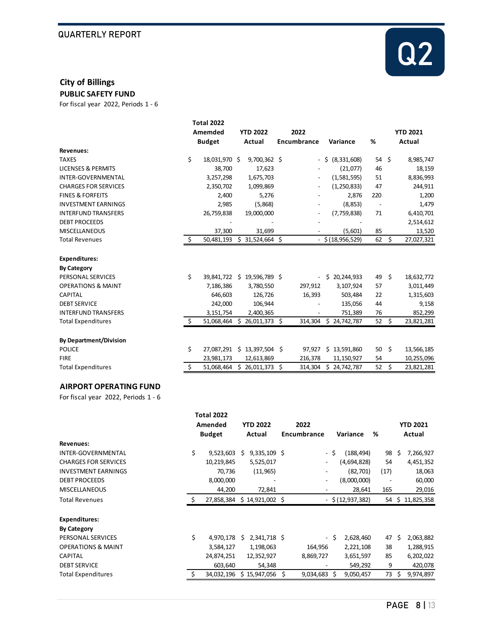

## **City of Billings**

**PUBLIC SAFETY FUND** For fiscal year 2022, Periods 1 - 6

| Amemded          |                                                            | <b>YTD 2022</b> | 2022                                               |                                                                                                                          |                                  |                                                                                                                                      |                                  | <b>YTD 2021</b>          |
|------------------|------------------------------------------------------------|-----------------|----------------------------------------------------|--------------------------------------------------------------------------------------------------------------------------|----------------------------------|--------------------------------------------------------------------------------------------------------------------------------------|----------------------------------|--------------------------|
| <b>Budget</b>    |                                                            | Actual          |                                                    |                                                                                                                          | Variance                         | %                                                                                                                                    |                                  | Actual                   |
|                  |                                                            |                 |                                                    |                                                                                                                          |                                  |                                                                                                                                      |                                  |                          |
| \$               |                                                            |                 |                                                    | $\overline{\phantom{a}}$                                                                                                 | \$ (8,331,608)                   |                                                                                                                                      |                                  | 8,985,747                |
| 38,700           |                                                            | 17,623          |                                                    |                                                                                                                          | (21,077)                         | 46                                                                                                                                   |                                  | 18,159                   |
| 3,257,298        |                                                            | 1,675,703       |                                                    |                                                                                                                          | (1,581,595)                      | 51                                                                                                                                   |                                  | 8,836,993                |
| 2,350,702        |                                                            | 1,099,869       |                                                    | $\overline{\phantom{a}}$                                                                                                 | (1, 250, 833)                    | 47                                                                                                                                   |                                  | 244,911                  |
| 2,400            |                                                            | 5,276           |                                                    |                                                                                                                          | 2,876                            | 220                                                                                                                                  |                                  | 1,200                    |
| 2,985            |                                                            | (5,868)         |                                                    |                                                                                                                          | (8, 853)                         |                                                                                                                                      |                                  | 1,479                    |
| 26,759,838       |                                                            | 19,000,000      |                                                    |                                                                                                                          | (7,759,838)                      | 71                                                                                                                                   |                                  | 6,410,701                |
|                  |                                                            |                 |                                                    |                                                                                                                          |                                  |                                                                                                                                      |                                  | 2,514,612                |
| 37,300           |                                                            | 31,699          |                                                    |                                                                                                                          | (5,601)                          | 85                                                                                                                                   |                                  | 13,520                   |
| \$<br>50,481,193 |                                                            |                 |                                                    |                                                                                                                          |                                  | 62                                                                                                                                   | \$                               | 27,027,321               |
|                  |                                                            |                 |                                                    |                                                                                                                          |                                  |                                                                                                                                      |                                  |                          |
|                  |                                                            |                 |                                                    |                                                                                                                          |                                  |                                                                                                                                      |                                  |                          |
|                  |                                                            |                 |                                                    |                                                                                                                          |                                  |                                                                                                                                      |                                  |                          |
|                  |                                                            |                 |                                                    |                                                                                                                          |                                  |                                                                                                                                      |                                  | 18,632,772               |
|                  |                                                            |                 |                                                    |                                                                                                                          |                                  |                                                                                                                                      |                                  | 3,011,449                |
|                  |                                                            |                 |                                                    |                                                                                                                          |                                  |                                                                                                                                      |                                  | 1,315,603                |
|                  |                                                            |                 |                                                    |                                                                                                                          |                                  |                                                                                                                                      |                                  | 9,158                    |
|                  |                                                            |                 |                                                    |                                                                                                                          |                                  |                                                                                                                                      |                                  | 852,299                  |
|                  |                                                            |                 |                                                    |                                                                                                                          |                                  |                                                                                                                                      |                                  | 23,821,281               |
|                  |                                                            |                 |                                                    |                                                                                                                          |                                  |                                                                                                                                      |                                  |                          |
| \$<br>27,087,291 |                                                            |                 |                                                    |                                                                                                                          | \$13,591,860                     | 50                                                                                                                                   | \$                               | 13,566,185               |
| 23,981,173       |                                                            | 12,613,869      |                                                    | 216,378                                                                                                                  | 11,150,927                       | 54                                                                                                                                   |                                  | 10,255,096               |
| \$<br>51,068,464 |                                                            |                 |                                                    |                                                                                                                          | \$24,742,787                     | 52                                                                                                                                   | \$                               | 23,821,281               |
| \$<br>\$         | 7,186,386<br>646,603<br>242,000<br>3,151,754<br>51,068,464 | 18,031,970 \$   | 3,780,550<br>126,726<br>106,944<br>2,400,365<br>Ŝ. | $9,700,362$ \$<br>$$31,524,664$ \$<br>39,841,722 \$ 19,596,789 \$<br>\$26,011,373\$<br>$$13,397,504$ \$<br>26,011,373 \$ | Encumbrance<br>297,912<br>16,393 | $-$ \$ (18,956,529)<br>$-$ \$ 20,244,933<br>3,107,924<br>503,484<br>135,056<br>751,389<br>314,304 \$ 24,742,787<br>97,927<br>314,304 | 49<br>57<br>22<br>44<br>76<br>52 | $54 \quad $$<br>\$<br>\$ |

#### **AIRPORT OPERATING FUND**

|                               |         | <b>Total 2022</b>           |                 |                  |      |                          |      |                     |   |      |        |                  |
|-------------------------------|---------|-----------------------------|-----------------|------------------|------|--------------------------|------|---------------------|---|------|--------|------------------|
|                               | Amended |                             | <b>YTD 2022</b> |                  | 2022 |                          |      |                     |   |      |        | <b>YTD 2021</b>  |
|                               |         | <b>Budget</b>               |                 | Actual           |      | Encumbrance              |      | Variance            | ℅ |      | Actual |                  |
| Revenues:                     |         |                             |                 |                  |      |                          |      |                     |   |      |        |                  |
| INTER-GOVERNMENTAL            | \$      | 9,523,603                   | Ś               | $9,335,109$ \$   |      |                          | - \$ | (188, 494)          |   | 98   | Ŝ      | 7,266,927        |
| <b>CHARGES FOR SERVICES</b>   |         | 10,219,845                  |                 | 5,525,017        |      |                          |      | (4,694,828)         |   | 54   |        | 4,451,352        |
| <b>INVESTMENT EARNINGS</b>    |         | 70,736                      |                 | (11, 965)        |      |                          |      | (82, 701)           |   | (17) |        | 18,063           |
| <b>DEBT PROCEEDS</b>          |         | 8,000,000                   |                 |                  |      | $\overline{\phantom{a}}$ |      | (8,000,000)         |   |      |        | 60,000           |
| <b>MISCELLANEOUS</b>          |         | 44,200                      |                 | 72,841           |      |                          |      | 28,641              |   | 165  |        | 29,016           |
| Total Revenues                | Š.      | 27,858,384 \$ 14,921,002 \$ |                 |                  |      |                          |      | $-$ \$ (12,937,382) |   |      |        | 54 \$ 11,825,358 |
| <b>Expenditures:</b>          |         |                             |                 |                  |      |                          |      |                     |   |      |        |                  |
| <b>By Category</b>            |         |                             |                 |                  |      |                          |      |                     |   |      |        |                  |
| PERSONAL SERVICES             | \$      | 4,970,178                   | Ś.              | 2,341,718 \$     |      | $\blacksquare$           | Ŝ.   | 2,628,460           |   | 47   | Ŝ      | 2,063,882        |
| <b>OPERATIONS &amp; MAINT</b> |         | 3,584,127                   |                 | 1,198,063        |      | 164,956                  |      | 2,221,108           |   | 38   |        | 1,288,915        |
| <b>CAPITAL</b>                |         | 24,874,251                  |                 | 12,352,927       |      | 8,869,727                |      | 3,651,597           |   | 85   |        | 6,202,022        |
| <b>DEBT SERVICE</b>           |         | 603,640                     |                 | 54,348           |      |                          |      | 549,292             |   | 9    |        | 420,078          |
| Total Expenditures            |         | 34,032,196                  |                 | $$15,947,056$ \$ |      | $9,034,683$ \$           |      | 9,050,457           |   | 73   | S      | 9,974,897        |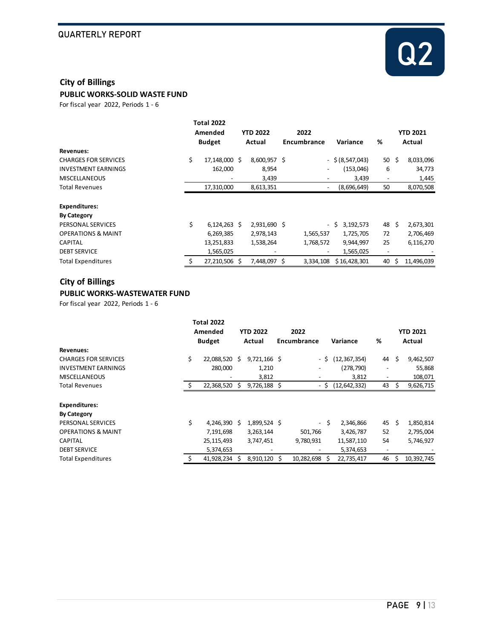

#### **City of Billings**

**PUBLIC WORKS-SOLID WASTE FUND**

For fiscal year 2022, Periods 1 - 6

|                               |    | <b>Total 2022</b>        |  |                           |  |                              |                    |                          |                 |            |  |
|-------------------------------|----|--------------------------|--|---------------------------|--|------------------------------|--------------------|--------------------------|-----------------|------------|--|
|                               |    | Amended<br><b>Budget</b> |  | <b>YTD 2022</b><br>Actual |  | 2022                         |                    |                          | <b>YTD 2021</b> |            |  |
|                               |    |                          |  |                           |  | Encumbrance                  | Variance           | %                        | Actual          |            |  |
| Revenues:                     |    |                          |  |                           |  |                              |                    |                          |                 |            |  |
| <b>CHARGES FOR SERVICES</b>   | \$ | 17,148,000 \$            |  | 8,600,957 \$              |  |                              | $-$ \$ (8,547,043) | 50                       | \$              | 8,033,096  |  |
| <b>INVESTMENT EARNINGS</b>    |    | 162,000                  |  | 8,954                     |  | ٠                            | (153,046)          | 6                        |                 | 34,773     |  |
| <b>MISCELLANEOUS</b>          |    |                          |  | 3,439                     |  |                              | 3,439              |                          |                 | 1,445      |  |
| <b>Total Revenues</b>         |    | 17,310,000               |  | 8,613,351                 |  | $\qquad \qquad \blacksquare$ | (8,696,649)        | 50                       |                 | 8,070,508  |  |
| <b>Expenditures:</b>          |    |                          |  |                           |  |                              |                    |                          |                 |            |  |
| <b>By Category</b>            |    |                          |  |                           |  |                              |                    |                          |                 |            |  |
| PERSONAL SERVICES             | \$ | $6,124,263$ \$           |  | 2,931,690 \$              |  | $\blacksquare$               | 3,192,573<br>-Ś    | 48                       | Ŝ.              | 2,673,301  |  |
| <b>OPERATIONS &amp; MAINT</b> |    | 6,269,385                |  | 2,978,143                 |  | 1,565,537                    | 1,725,705          | 72                       |                 | 2,706,469  |  |
| <b>CAPITAL</b>                |    | 13,251,833               |  | 1,538,264                 |  | 1,768,572                    | 9,944,997          | 25                       |                 | 6,116,270  |  |
| <b>DEBT SERVICE</b>           |    | 1,565,025                |  |                           |  | $\qquad \qquad \blacksquare$ | 1,565,025          | $\overline{\phantom{a}}$ |                 |            |  |
| <b>Total Expenditures</b>     | \$ | 27,210,506 \$            |  | 7,448,097 \$              |  | 3,334,108                    | \$16,428,301       | 40                       | Ŝ               | 11,496,039 |  |

#### **City of Billings PUBLIC WORKS-WASTEWATER FUND**

|                               | <b>Total 2022</b>   |    |                          |  |             |      |                |                          |    |                 |  |
|-------------------------------|---------------------|----|--------------------------|--|-------------|------|----------------|--------------------------|----|-----------------|--|
|                               | Amended             |    | <b>YTD 2022</b>          |  | 2022        |      |                |                          |    | <b>YTD 2021</b> |  |
|                               | <b>Budget</b>       |    | Actual                   |  | Encumbrance |      | Variance       | %                        |    | Actual          |  |
| Revenues:                     |                     |    |                          |  |             |      |                |                          |    |                 |  |
| <b>CHARGES FOR SERVICES</b>   | \$<br>22,088,520 \$ |    | $9,721,166$ \$           |  | - \$        |      | (12, 367, 354) | 44                       | \$ | 9,462,507       |  |
| <b>INVESTMENT EARNINGS</b>    | 280,000             |    | 1,210                    |  |             |      | (278, 790)     |                          |    | 55,868          |  |
| <b>MISCELLANEOUS</b>          |                     |    | 3,812                    |  |             |      | 3,812          |                          |    | 108,071         |  |
| Total Revenues                | 22,368,520          | S. | $9,726,188$ \$           |  |             | - S  | (12, 642, 332) | 43                       | S  | 9,626,715       |  |
|                               |                     |    |                          |  |             |      |                |                          |    |                 |  |
| <b>Expenditures:</b>          |                     |    |                          |  |             |      |                |                          |    |                 |  |
| <b>By Category</b>            |                     |    |                          |  |             |      |                |                          |    |                 |  |
| PERSONAL SERVICES             | \$<br>4,246,390 \$  |    | 1,899,524 \$             |  |             | - \$ | 2,346,866      | 45                       | Ŝ  | 1,850,814       |  |
| <b>OPERATIONS &amp; MAINT</b> | 7,191,698           |    | 3,263,144                |  | 501.766     |      | 3,426,787      | 52                       |    | 2,795,004       |  |
| <b>CAPITAL</b>                | 25, 115, 493        |    | 3,747,451                |  | 9,780,931   |      | 11,587,110     | 54                       |    | 5,746,927       |  |
| <b>DEBT SERVICE</b>           | 5,374,653           |    | $\overline{\phantom{a}}$ |  |             |      | 5,374,653      | $\overline{\phantom{a}}$ |    |                 |  |
| <b>Total Expenditures</b>     | 41,928,234          | S  | 8,910,120 \$             |  | 10,282,698  | S    | 22,735,417     | 46                       | S  | 10,392,745      |  |